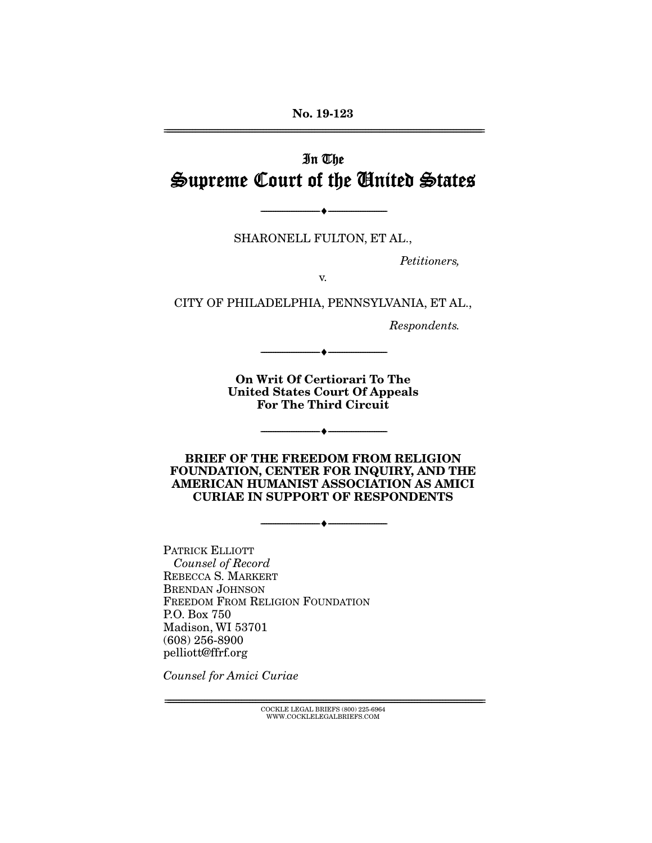**No. 19-123**  ================================================================================================================

# In The Supreme Court of the United States

SHARONELL FULTON, ET AL.,

--------------------------------- ♦ ---------------------------------

Petitioners,

v.

CITY OF PHILADELPHIA, PENNSYLVANIA, ET AL.,

Respondents.

**On Writ Of Certiorari To The United States Court Of Appeals For The Third Circuit** 

--------------------------------- ♦ ---------------------------------

--------------------------------- ♦ ---------------------------------

**BRIEF OF THE FREEDOM FROM RELIGION FOUNDATION, CENTER FOR INQUIRY, AND THE AMERICAN HUMANIST ASSOCIATION AS AMICI CURIAE IN SUPPORT OF RESPONDENTS** 

--------------------------------- ♦ ---------------------------------

PATRICK ELLIOTT Counsel of Record REBECCA S. MARKERT BRENDAN JOHNSON FREEDOM FROM RELIGION FOUNDATION P.O. Box 750 Madison, WI 53701 (608) 256-8900 pelliott@ffrf.org

Counsel for Amici Curiae

 ${ \bf COCKLE}$  LEGAL BRIEFS (800) 225-6964 WWW.COCKLELEGALBRIEFS.COM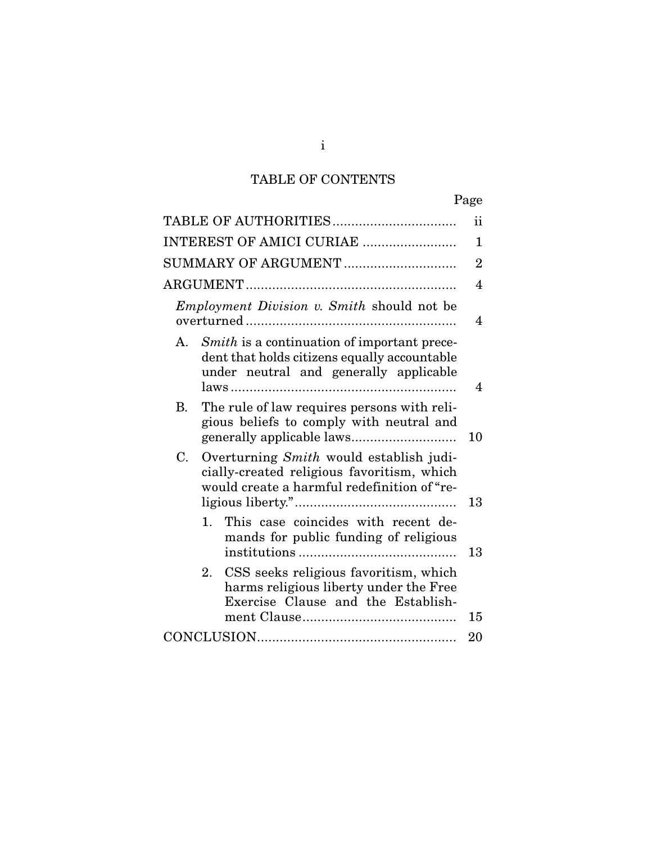# TABLE OF CONTENTS

|                                            |                                                                                                                                       | Page           |
|--------------------------------------------|---------------------------------------------------------------------------------------------------------------------------------------|----------------|
|                                            |                                                                                                                                       | ii             |
| INTEREST OF AMICI CURIAE                   |                                                                                                                                       | $\mathbf{1}$   |
| SUMMARY OF ARGUMENT                        |                                                                                                                                       | $\overline{2}$ |
|                                            |                                                                                                                                       | 4              |
| Employment Division v. Smith should not be |                                                                                                                                       |                |
| $A_{1}$                                    | Smith is a continuation of important prece-<br>dent that holds citizens equally accountable<br>under neutral and generally applicable | 4              |
| <b>B.</b>                                  | The rule of law requires persons with reli-<br>gious beliefs to comply with neutral and                                               | 10             |
| C.                                         | Overturning Smith would establish judi-<br>cially-created religious favoritism, which<br>would create a harmful redefinition of "re-  | 13             |
| 1.                                         | This case coincides with recent de-<br>mands for public funding of religious                                                          | 13             |
| 2.                                         | CSS seeks religious favoritism, which<br>harms religious liberty under the Free<br>Exercise Clause and the Establish-                 | 15             |
|                                            |                                                                                                                                       |                |
|                                            |                                                                                                                                       |                |

i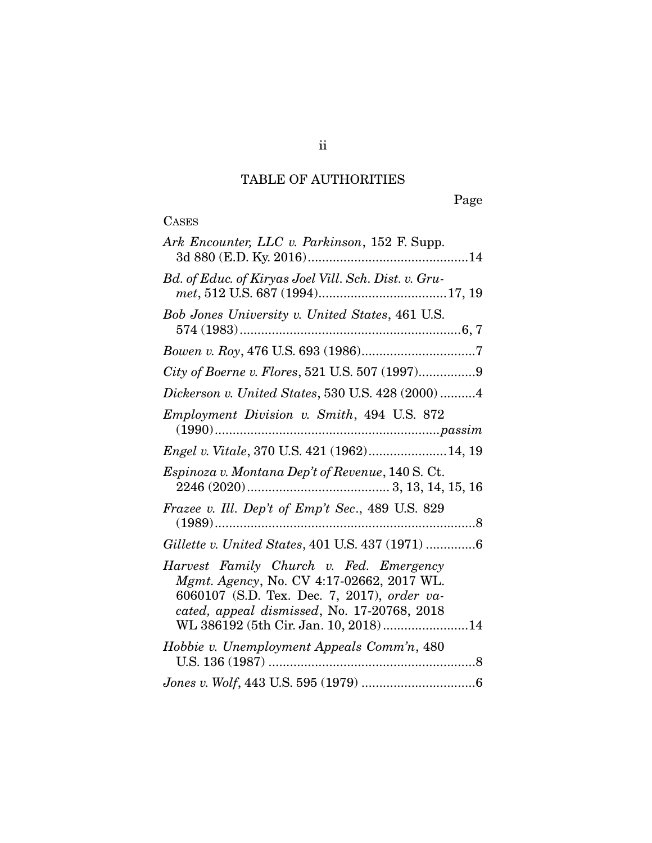# TABLE OF AUTHORITIES

# **CASES**

| Ark Encounter, LLC v. Parkinson, 152 F. Supp.                                                                                                                                                                                                                                                                                                                                            |
|------------------------------------------------------------------------------------------------------------------------------------------------------------------------------------------------------------------------------------------------------------------------------------------------------------------------------------------------------------------------------------------|
| Bd. of Educ. of Kiryas Joel Vill. Sch. Dist. v. Gru-                                                                                                                                                                                                                                                                                                                                     |
| Bob Jones University v. United States, 461 U.S.                                                                                                                                                                                                                                                                                                                                          |
|                                                                                                                                                                                                                                                                                                                                                                                          |
| City of Boerne v. Flores, 521 U.S. 507 (1997)9                                                                                                                                                                                                                                                                                                                                           |
| Dickerson v. United States, 530 U.S. 428 (2000) 4                                                                                                                                                                                                                                                                                                                                        |
| Employment Division v. Smith, 494 U.S. 872<br>$(1990) \dots 19900 \dots 10000 \dots 10000 \dots 10000 \dots 10000 \dots 10000 \dots 10000 \dots 10000 \dots 10000 \dots 10000 \dots 10000 \dots 10000 \dots 10000 \dots 10000 \dots 10000 \dots 10000 \dots 10000 \dots 10000 \dots 10000 \dots 10000 \dots 10000 \dots 10000 \dots 10000 \dots 10000 \dots 10000 \dots 10000 \dots 100$ |
| <i>Engel v. Vitale, 370 U.S. 421 (1962)14, 19</i>                                                                                                                                                                                                                                                                                                                                        |
| Espinoza v. Montana Dep't of Revenue, 140 S. Ct.                                                                                                                                                                                                                                                                                                                                         |
| Frazee v. Ill. Dep't of Emp't Sec., 489 U.S. 829                                                                                                                                                                                                                                                                                                                                         |
| Gillette v. United States, 401 U.S. 437 (1971) 6                                                                                                                                                                                                                                                                                                                                         |
| Harvest Family Church v. Fed. Emergency<br>Mgmt. Agency, No. CV 4:17-02662, 2017 WL.<br>6060107 (S.D. Tex. Dec. 7, 2017), order va-<br>cated, appeal dismissed, No. 17-20768, 2018<br>WL 386192 (5th Cir. Jan. 10, 2018)14                                                                                                                                                               |
| Hobbie v. Unemployment Appeals Comm'n, 480                                                                                                                                                                                                                                                                                                                                               |
|                                                                                                                                                                                                                                                                                                                                                                                          |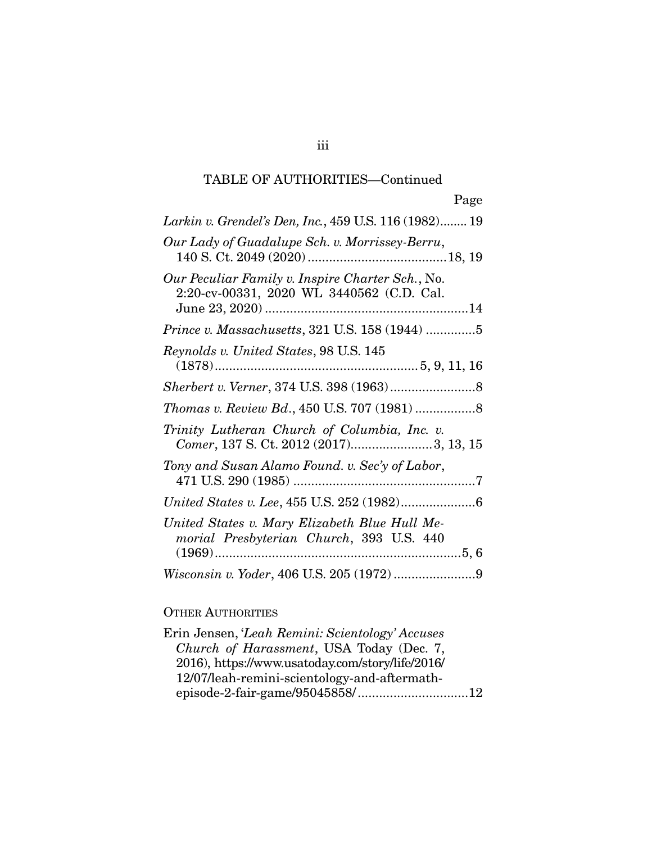## TABLE OF AUTHORITIES—Continued

| Page                                                                                          |
|-----------------------------------------------------------------------------------------------|
| Larkin v. Grendel's Den, Inc., 459 U.S. 116 (1982) 19                                         |
| Our Lady of Guadalupe Sch. v. Morrissey-Berru,                                                |
| Our Peculiar Family v. Inspire Charter Sch., No.<br>2:20-cv-00331, 2020 WL 3440562 (C.D. Cal. |
| Prince v. Massachusetts, 321 U.S. 158 (1944) 5                                                |
| Reynolds v. United States, 98 U.S. 145                                                        |
|                                                                                               |
|                                                                                               |
| Trinity Lutheran Church of Columbia, Inc. v.<br>Comer, 137 S. Ct. 2012 (2017)3, 13, 15        |
| Tony and Susan Alamo Found. v. Sec'y of Labor,                                                |
|                                                                                               |
| United States v. Mary Elizabeth Blue Hull Me-<br>morial Presbyterian Church, 393 U.S. 440     |
|                                                                                               |

## OTHER AUTHORITIES

| episode-2-fair-game/95045858/12 |
|---------------------------------|
|                                 |

iii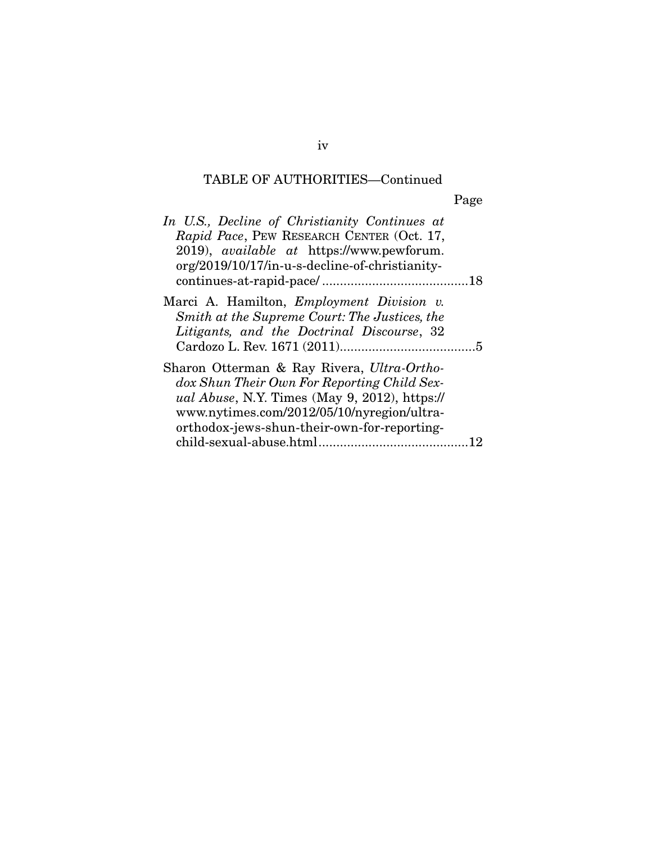## TABLE OF AUTHORITIES—Continued

Page

| In U.S., Decline of Christianity Continues at<br>Rapid Pace, PEW RESEARCH CENTER (Oct. 17,<br>2019), <i>available at</i> https://www.pewforum.<br>org/2019/10/17/in-u-s-decline-of-christianity-                                                |  |
|-------------------------------------------------------------------------------------------------------------------------------------------------------------------------------------------------------------------------------------------------|--|
| Marci A. Hamilton, <i>Employment Division v.</i><br>Smith at the Supreme Court: The Justices, the<br>Litigants, and the Doctrinal Discourse, 32                                                                                                 |  |
| Sharon Otterman & Ray Rivera, Ultra-Ortho-<br>dox Shun Their Own For Reporting Child Sex-<br><i>ual Abuse</i> , N.Y. Times (May 9, 2012), https://<br>www.nytimes.com/2012/05/10/nyregion/ultra-<br>orthodox-jews-shun-their-own-for-reporting- |  |

iv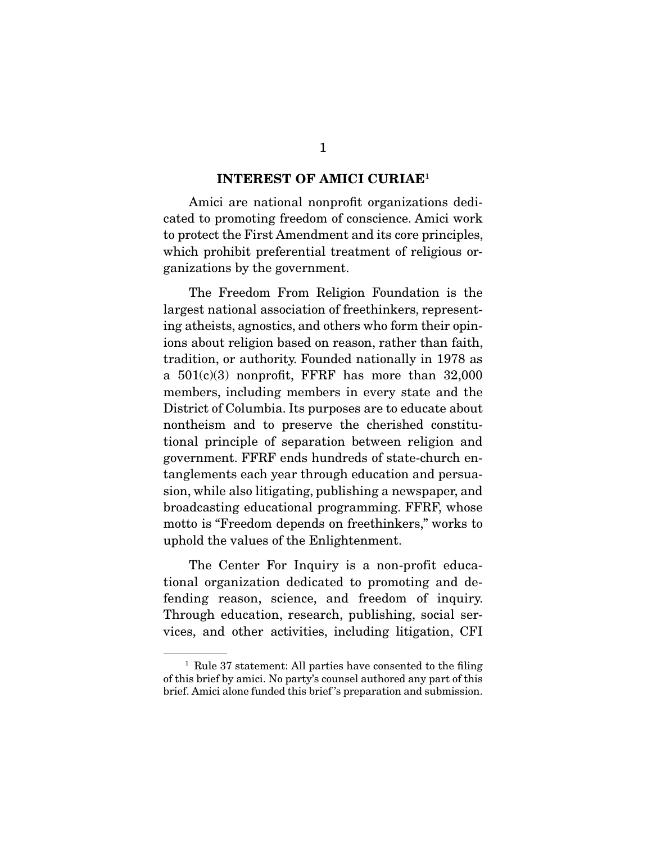#### **INTEREST OF AMICI CURIAE**<sup>1</sup>

 Amici are national nonprofit organizations dedicated to promoting freedom of conscience. Amici work to protect the First Amendment and its core principles, which prohibit preferential treatment of religious organizations by the government.

 The Freedom From Religion Foundation is the largest national association of freethinkers, representing atheists, agnostics, and others who form their opinions about religion based on reason, rather than faith, tradition, or authority. Founded nationally in 1978 as a  $501(c)(3)$  nonprofit, FFRF has more than  $32,000$ members, including members in every state and the District of Columbia. Its purposes are to educate about nontheism and to preserve the cherished constitutional principle of separation between religion and government. FFRF ends hundreds of state-church entanglements each year through education and persuasion, while also litigating, publishing a newspaper, and broadcasting educational programming. FFRF, whose motto is "Freedom depends on freethinkers," works to uphold the values of the Enlightenment.

 The Center For Inquiry is a non-profit educational organization dedicated to promoting and defending reason, science, and freedom of inquiry. Through education, research, publishing, social services, and other activities, including litigation, CFI

<sup>&</sup>lt;sup>1</sup> Rule 37 statement: All parties have consented to the filing of this brief by amici. No party's counsel authored any part of this brief. Amici alone funded this brief 's preparation and submission.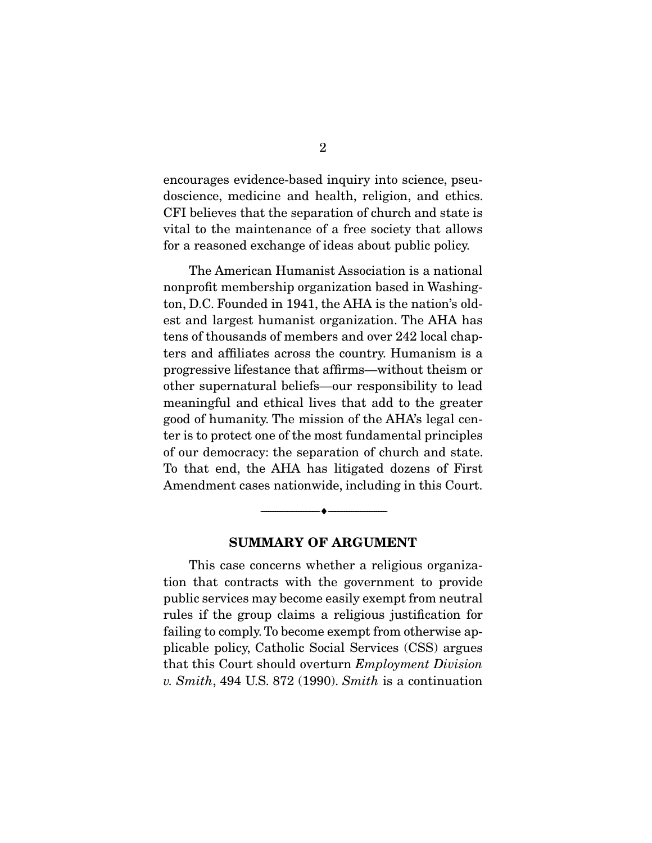encourages evidence-based inquiry into science, pseudoscience, medicine and health, religion, and ethics. CFI believes that the separation of church and state is vital to the maintenance of a free society that allows for a reasoned exchange of ideas about public policy.

 The American Humanist Association is a national nonprofit membership organization based in Washington, D.C. Founded in 1941, the AHA is the nation's oldest and largest humanist organization. The AHA has tens of thousands of members and over 242 local chapters and affiliates across the country. Humanism is a progressive lifestance that affirms—without theism or other supernatural beliefs—our responsibility to lead meaningful and ethical lives that add to the greater good of humanity. The mission of the AHA's legal center is to protect one of the most fundamental principles of our democracy: the separation of church and state. To that end, the AHA has litigated dozens of First Amendment cases nationwide, including in this Court.

#### **SUMMARY OF ARGUMENT**

--------------------------------- ♦ ---------------------------------

 This case concerns whether a religious organization that contracts with the government to provide public services may become easily exempt from neutral rules if the group claims a religious justification for failing to comply. To become exempt from otherwise applicable policy, Catholic Social Services (CSS) argues that this Court should overturn *Employment Division v. Smith*, 494 U.S. 872 (1990). *Smith* is a continuation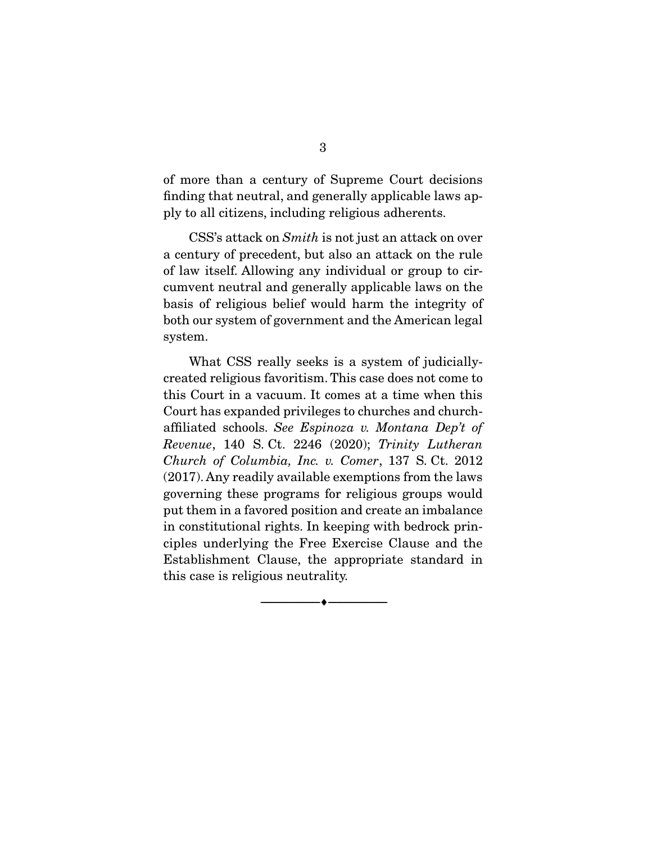of more than a century of Supreme Court decisions finding that neutral, and generally applicable laws apply to all citizens, including religious adherents.

 CSS's attack on *Smith* is not just an attack on over a century of precedent, but also an attack on the rule of law itself. Allowing any individual or group to circumvent neutral and generally applicable laws on the basis of religious belief would harm the integrity of both our system of government and the American legal system.

 What CSS really seeks is a system of judiciallycreated religious favoritism. This case does not come to this Court in a vacuum. It comes at a time when this Court has expanded privileges to churches and churchaffiliated schools. *See Espinoza v. Montana Dep't of Revenue*, 140 S. Ct. 2246 (2020); *Trinity Lutheran Church of Columbia, Inc. v. Comer*, 137 S. Ct. 2012 (2017). Any readily available exemptions from the laws governing these programs for religious groups would put them in a favored position and create an imbalance in constitutional rights. In keeping with bedrock principles underlying the Free Exercise Clause and the Establishment Clause, the appropriate standard in this case is religious neutrality.

--------------------------------- ♦ ---------------------------------

3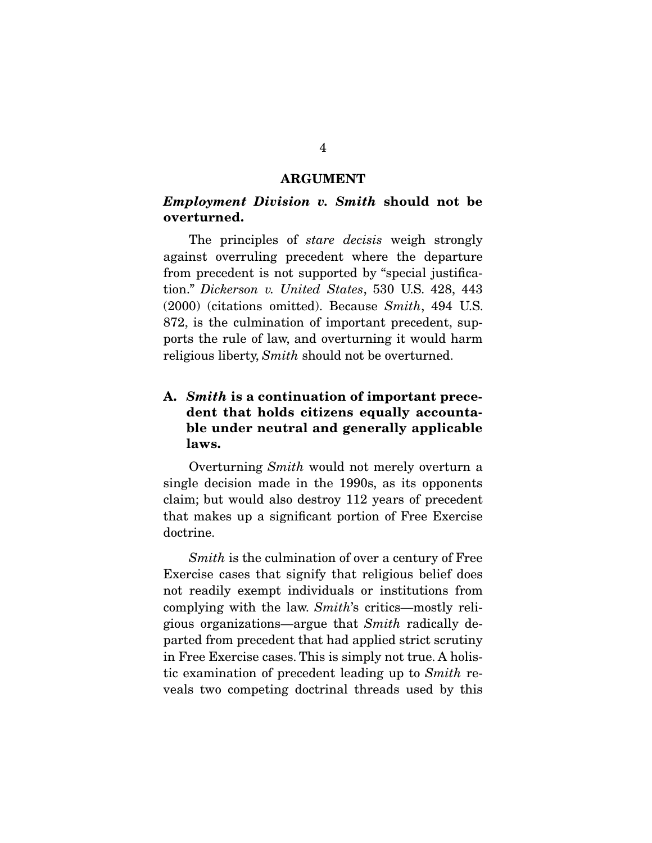#### **ARGUMENT**

### *Employment Division v. Smith* **should not be overturned.**

 The principles of *stare decisis* weigh strongly against overruling precedent where the departure from precedent is not supported by "special justification." *Dickerson v. United States*, 530 U.S. 428, 443 (2000) (citations omitted). Because *Smith*, 494 U.S. 872, is the culmination of important precedent, supports the rule of law, and overturning it would harm religious liberty, *Smith* should not be overturned.

## **A.** *Smith* **is a continuation of important precedent that holds citizens equally accountable under neutral and generally applicable laws.**

 Overturning *Smith* would not merely overturn a single decision made in the 1990s, as its opponents claim; but would also destroy 112 years of precedent that makes up a significant portion of Free Exercise doctrine.

*Smith* is the culmination of over a century of Free Exercise cases that signify that religious belief does not readily exempt individuals or institutions from complying with the law. *Smith*'s critics—mostly religious organizations—argue that *Smith* radically departed from precedent that had applied strict scrutiny in Free Exercise cases. This is simply not true. A holistic examination of precedent leading up to *Smith* reveals two competing doctrinal threads used by this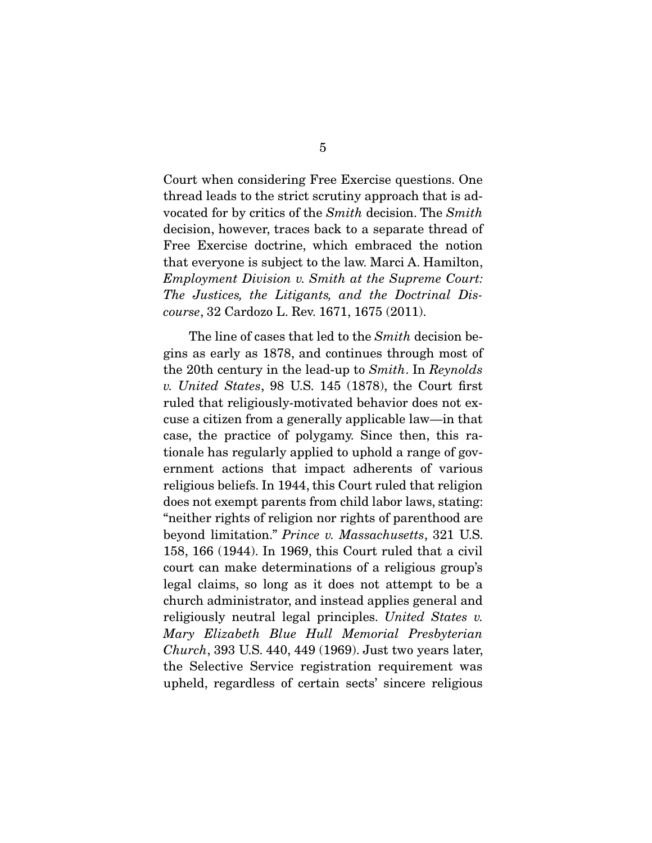Court when considering Free Exercise questions. One thread leads to the strict scrutiny approach that is advocated for by critics of the *Smith* decision. The *Smith* decision, however, traces back to a separate thread of Free Exercise doctrine, which embraced the notion that everyone is subject to the law. Marci A. Hamilton, *Employment Division v. Smith at the Supreme Court: The Justices, the Litigants, and the Doctrinal Discourse*, 32 Cardozo L. Rev. 1671, 1675 (2011).

 The line of cases that led to the *Smith* decision begins as early as 1878, and continues through most of the 20th century in the lead-up to *Smith*. In *Reynolds v. United States*, 98 U.S. 145 (1878), the Court first ruled that religiously-motivated behavior does not excuse a citizen from a generally applicable law—in that case, the practice of polygamy. Since then, this rationale has regularly applied to uphold a range of government actions that impact adherents of various religious beliefs. In 1944, this Court ruled that religion does not exempt parents from child labor laws, stating: "neither rights of religion nor rights of parenthood are beyond limitation." *Prince v. Massachusetts*, 321 U.S. 158, 166 (1944). In 1969, this Court ruled that a civil court can make determinations of a religious group's legal claims, so long as it does not attempt to be a church administrator, and instead applies general and religiously neutral legal principles. *United States v. Mary Elizabeth Blue Hull Memorial Presbyterian Church*, 393 U.S. 440, 449 (1969). Just two years later, the Selective Service registration requirement was upheld, regardless of certain sects' sincere religious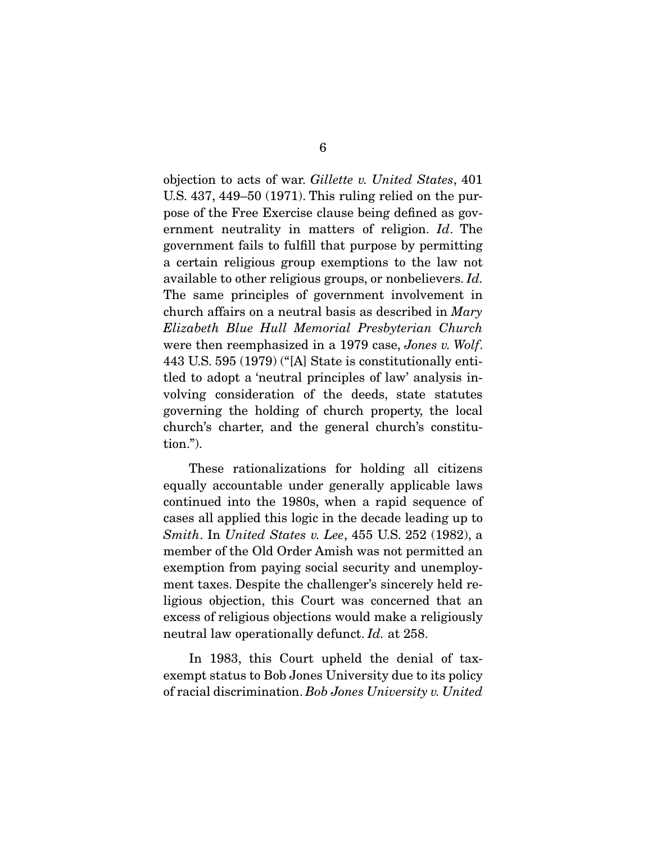objection to acts of war. *Gillette v. United States*, 401 U.S. 437, 449–50 (1971). This ruling relied on the purpose of the Free Exercise clause being defined as government neutrality in matters of religion. *Id*. The government fails to fulfill that purpose by permitting a certain religious group exemptions to the law not available to other religious groups, or nonbelievers. *Id.*  The same principles of government involvement in church affairs on a neutral basis as described in *Mary Elizabeth Blue Hull Memorial Presbyterian Church* were then reemphasized in a 1979 case, *Jones v. Wolf*. 443 U.S. 595 (1979) ("[A] State is constitutionally entitled to adopt a 'neutral principles of law' analysis involving consideration of the deeds, state statutes governing the holding of church property, the local church's charter, and the general church's constitution.").

 These rationalizations for holding all citizens equally accountable under generally applicable laws continued into the 1980s, when a rapid sequence of cases all applied this logic in the decade leading up to *Smith*. In *United States v. Lee*, 455 U.S. 252 (1982), a member of the Old Order Amish was not permitted an exemption from paying social security and unemployment taxes. Despite the challenger's sincerely held religious objection, this Court was concerned that an excess of religious objections would make a religiously neutral law operationally defunct. *Id.* at 258.

 In 1983, this Court upheld the denial of taxexempt status to Bob Jones University due to its policy of racial discrimination. *Bob Jones University v. United*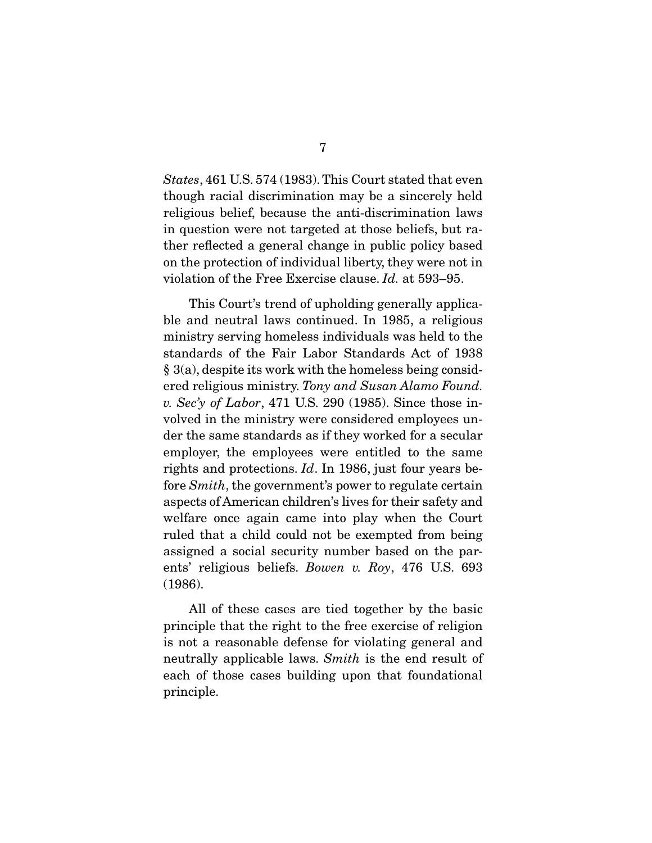*States*, 461 U.S. 574 (1983). This Court stated that even though racial discrimination may be a sincerely held religious belief, because the anti-discrimination laws in question were not targeted at those beliefs, but rather reflected a general change in public policy based on the protection of individual liberty, they were not in violation of the Free Exercise clause. *Id.* at 593–95.

 This Court's trend of upholding generally applicable and neutral laws continued. In 1985, a religious ministry serving homeless individuals was held to the standards of the Fair Labor Standards Act of 1938 § 3(a), despite its work with the homeless being considered religious ministry. *Tony and Susan Alamo Found. v. Sec'y of Labor*, 471 U.S. 290 (1985). Since those involved in the ministry were considered employees under the same standards as if they worked for a secular employer, the employees were entitled to the same rights and protections. *Id*. In 1986, just four years before *Smith*, the government's power to regulate certain aspects of American children's lives for their safety and welfare once again came into play when the Court ruled that a child could not be exempted from being assigned a social security number based on the parents' religious beliefs. *Bowen v. Roy*, 476 U.S. 693 (1986).

 All of these cases are tied together by the basic principle that the right to the free exercise of religion is not a reasonable defense for violating general and neutrally applicable laws. *Smith* is the end result of each of those cases building upon that foundational principle.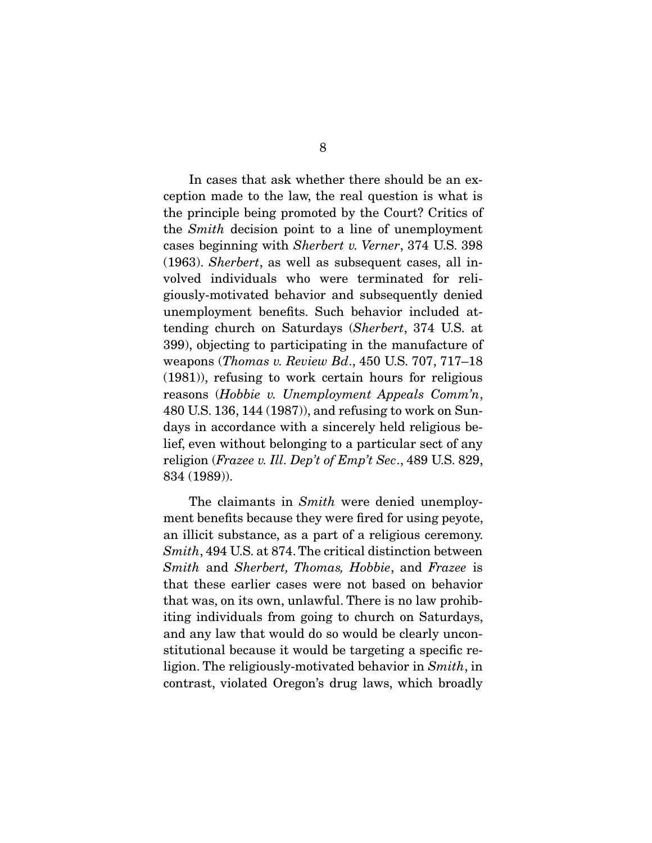In cases that ask whether there should be an exception made to the law, the real question is what is the principle being promoted by the Court? Critics of the *Smith* decision point to a line of unemployment cases beginning with *Sherbert v. Verner*, 374 U.S. 398 (1963). *Sherbert*, as well as subsequent cases, all involved individuals who were terminated for religiously-motivated behavior and subsequently denied unemployment benefits. Such behavior included attending church on Saturdays (*Sherbert*, 374 U.S. at 399), objecting to participating in the manufacture of weapons (*Thomas v. Review Bd*., 450 U.S. 707, 717–18 (1981)), refusing to work certain hours for religious reasons (*Hobbie v. Unemployment Appeals Comm'n*, 480 U.S. 136, 144 (1987)), and refusing to work on Sundays in accordance with a sincerely held religious belief, even without belonging to a particular sect of any religion (*Frazee v. Ill. Dep't of Emp't Sec*., 489 U.S. 829, 834 (1989)).

 The claimants in *Smith* were denied unemployment benefits because they were fired for using peyote, an illicit substance, as a part of a religious ceremony. *Smith*, 494 U.S. at 874. The critical distinction between *Smith* and *Sherbert, Thomas, Hobbie*, and *Frazee* is that these earlier cases were not based on behavior that was, on its own, unlawful. There is no law prohibiting individuals from going to church on Saturdays, and any law that would do so would be clearly unconstitutional because it would be targeting a specific religion. The religiously-motivated behavior in *Smith*, in contrast, violated Oregon's drug laws, which broadly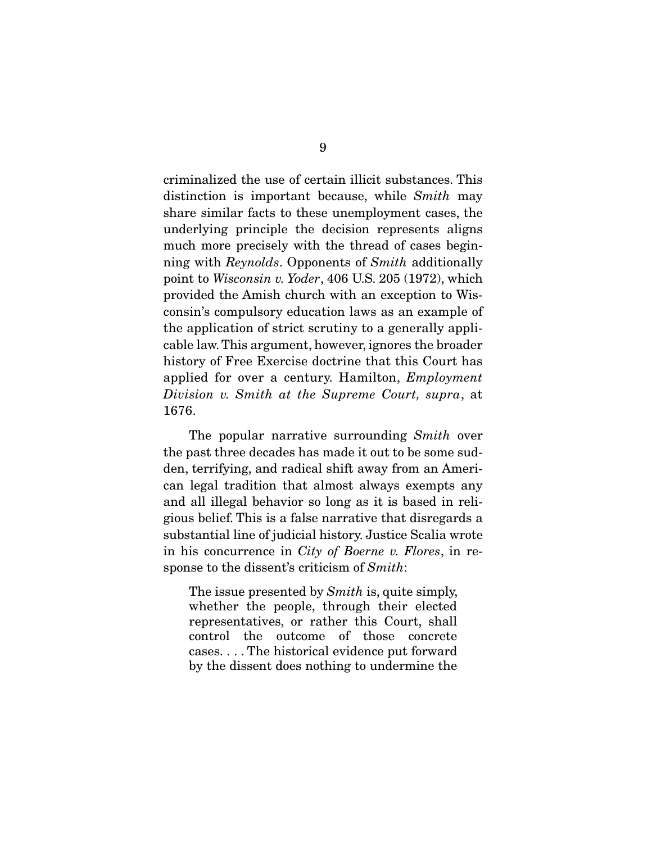criminalized the use of certain illicit substances. This distinction is important because, while *Smith* may share similar facts to these unemployment cases, the underlying principle the decision represents aligns much more precisely with the thread of cases beginning with *Reynolds*. Opponents of *Smith* additionally point to *Wisconsin v. Yoder*, 406 U.S. 205 (1972), which provided the Amish church with an exception to Wisconsin's compulsory education laws as an example of the application of strict scrutiny to a generally applicable law. This argument, however, ignores the broader history of Free Exercise doctrine that this Court has applied for over a century. Hamilton, *Employment Division v. Smith at the Supreme Court, supra*, at 1676.

 The popular narrative surrounding *Smith* over the past three decades has made it out to be some sudden, terrifying, and radical shift away from an American legal tradition that almost always exempts any and all illegal behavior so long as it is based in religious belief. This is a false narrative that disregards a substantial line of judicial history. Justice Scalia wrote in his concurrence in *City of Boerne v. Flores*, in response to the dissent's criticism of *Smith*:

The issue presented by *Smith* is, quite simply, whether the people, through their elected representatives, or rather this Court, shall control the outcome of those concrete cases. . . . The historical evidence put forward by the dissent does nothing to undermine the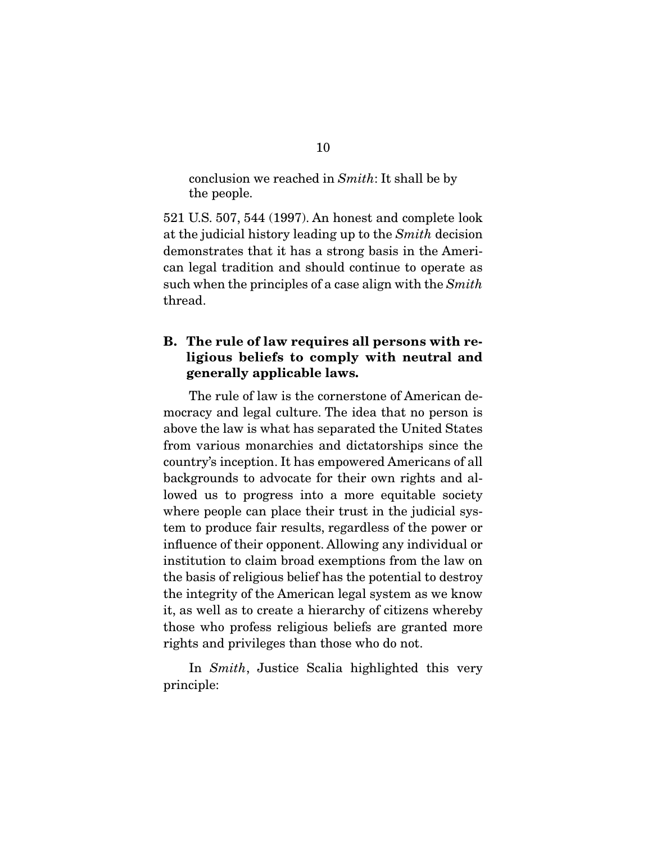conclusion we reached in *Smith*: It shall be by the people.

521 U.S. 507, 544 (1997). An honest and complete look at the judicial history leading up to the *Smith* decision demonstrates that it has a strong basis in the American legal tradition and should continue to operate as such when the principles of a case align with the *Smith* thread.

## **B. The rule of law requires all persons with religious beliefs to comply with neutral and generally applicable laws.**

 The rule of law is the cornerstone of American democracy and legal culture. The idea that no person is above the law is what has separated the United States from various monarchies and dictatorships since the country's inception. It has empowered Americans of all backgrounds to advocate for their own rights and allowed us to progress into a more equitable society where people can place their trust in the judicial system to produce fair results, regardless of the power or influence of their opponent. Allowing any individual or institution to claim broad exemptions from the law on the basis of religious belief has the potential to destroy the integrity of the American legal system as we know it, as well as to create a hierarchy of citizens whereby those who profess religious beliefs are granted more rights and privileges than those who do not.

 In *Smith*, Justice Scalia highlighted this very principle: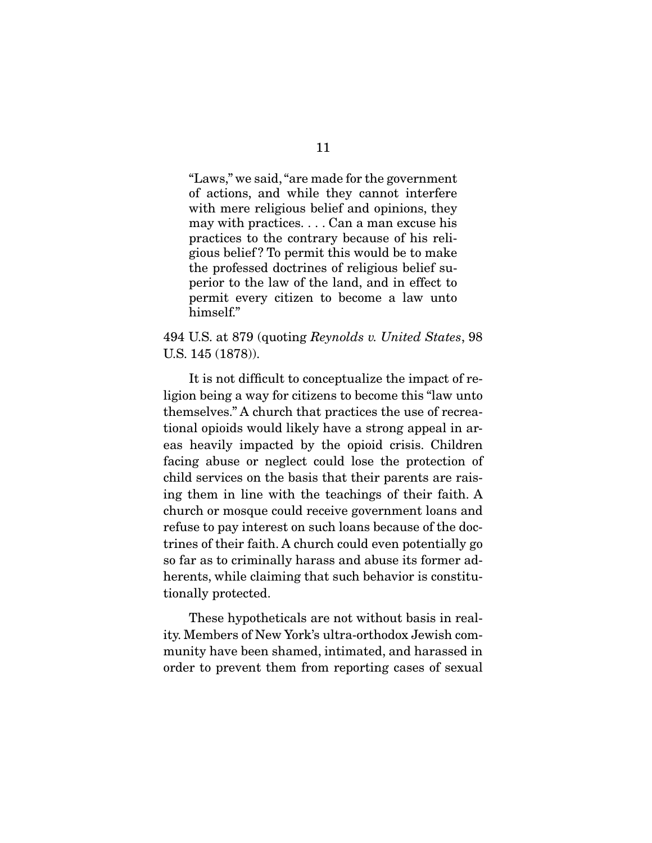"Laws," we said, "are made for the government of actions, and while they cannot interfere with mere religious belief and opinions, they may with practices. . . . Can a man excuse his practices to the contrary because of his religious belief ? To permit this would be to make the professed doctrines of religious belief superior to the law of the land, and in effect to permit every citizen to become a law unto himself."

494 U.S. at 879 (quoting *Reynolds v. United States*, 98 U.S. 145 (1878)).

 It is not difficult to conceptualize the impact of religion being a way for citizens to become this "law unto themselves." A church that practices the use of recreational opioids would likely have a strong appeal in areas heavily impacted by the opioid crisis. Children facing abuse or neglect could lose the protection of child services on the basis that their parents are raising them in line with the teachings of their faith. A church or mosque could receive government loans and refuse to pay interest on such loans because of the doctrines of their faith. A church could even potentially go so far as to criminally harass and abuse its former adherents, while claiming that such behavior is constitutionally protected.

 These hypotheticals are not without basis in reality. Members of New York's ultra-orthodox Jewish community have been shamed, intimated, and harassed in order to prevent them from reporting cases of sexual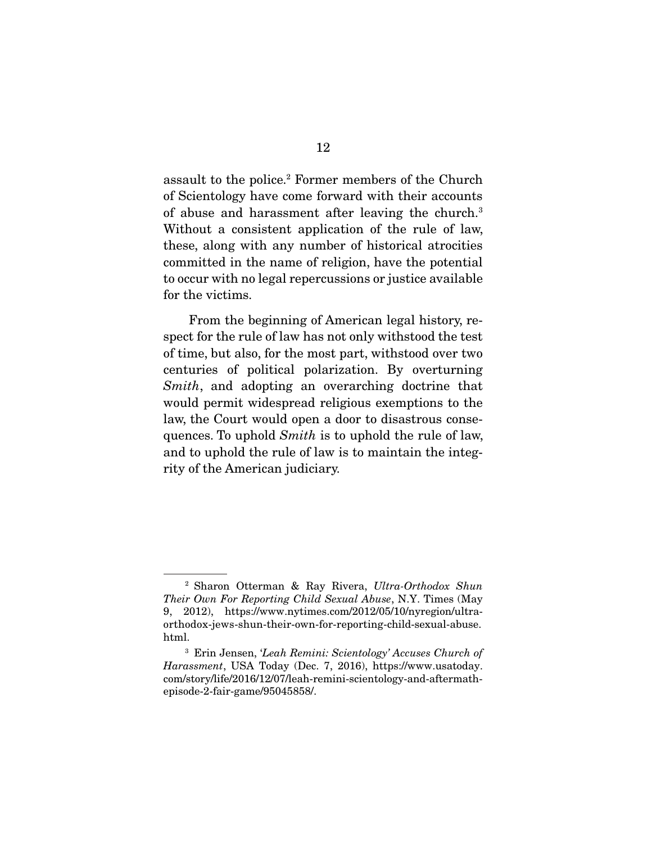assault to the police.2 Former members of the Church of Scientology have come forward with their accounts of abuse and harassment after leaving the church.<sup>3</sup> Without a consistent application of the rule of law, these, along with any number of historical atrocities committed in the name of religion, have the potential to occur with no legal repercussions or justice available for the victims.

 From the beginning of American legal history, respect for the rule of law has not only withstood the test of time, but also, for the most part, withstood over two centuries of political polarization. By overturning *Smith*, and adopting an overarching doctrine that would permit widespread religious exemptions to the law, the Court would open a door to disastrous consequences. To uphold *Smith* is to uphold the rule of law, and to uphold the rule of law is to maintain the integrity of the American judiciary.

<sup>2</sup> Sharon Otterman & Ray Rivera, *Ultra-Orthodox Shun Their Own For Reporting Child Sexual Abuse*, N.Y. Times (May 9, 2012), https://www.nytimes.com/2012/05/10/nyregion/ultraorthodox-jews-shun-their-own-for-reporting-child-sexual-abuse. html.

<sup>3</sup> Erin Jensen, '*Leah Remini: Scientology' Accuses Church of Harassment*, USA Today (Dec. 7, 2016), https://www.usatoday. com/story/life/2016/12/07/leah-remini-scientology-and-aftermathepisode-2-fair-game/95045858/.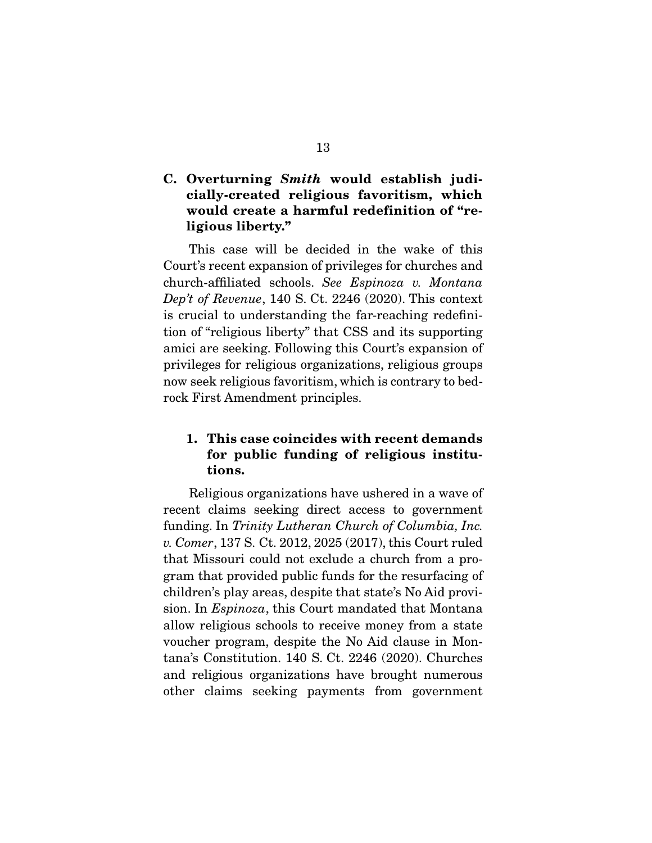## **C. Overturning** *Smith* **would establish judicially-created religious favoritism, which would create a harmful redefinition of "religious liberty."**

 This case will be decided in the wake of this Court's recent expansion of privileges for churches and church-affiliated schools. *See Espinoza v. Montana Dep't of Revenue*, 140 S. Ct. 2246 (2020). This context is crucial to understanding the far-reaching redefinition of "religious liberty" that CSS and its supporting amici are seeking. Following this Court's expansion of privileges for religious organizations, religious groups now seek religious favoritism, which is contrary to bedrock First Amendment principles.

## **1. This case coincides with recent demands for public funding of religious institutions.**

 Religious organizations have ushered in a wave of recent claims seeking direct access to government funding. In *Trinity Lutheran Church of Columbia, Inc. v. Comer*, 137 S. Ct. 2012, 2025 (2017), this Court ruled that Missouri could not exclude a church from a program that provided public funds for the resurfacing of children's play areas, despite that state's No Aid provision. In *Espinoza*, this Court mandated that Montana allow religious schools to receive money from a state voucher program, despite the No Aid clause in Montana's Constitution. 140 S. Ct. 2246 (2020). Churches and religious organizations have brought numerous other claims seeking payments from government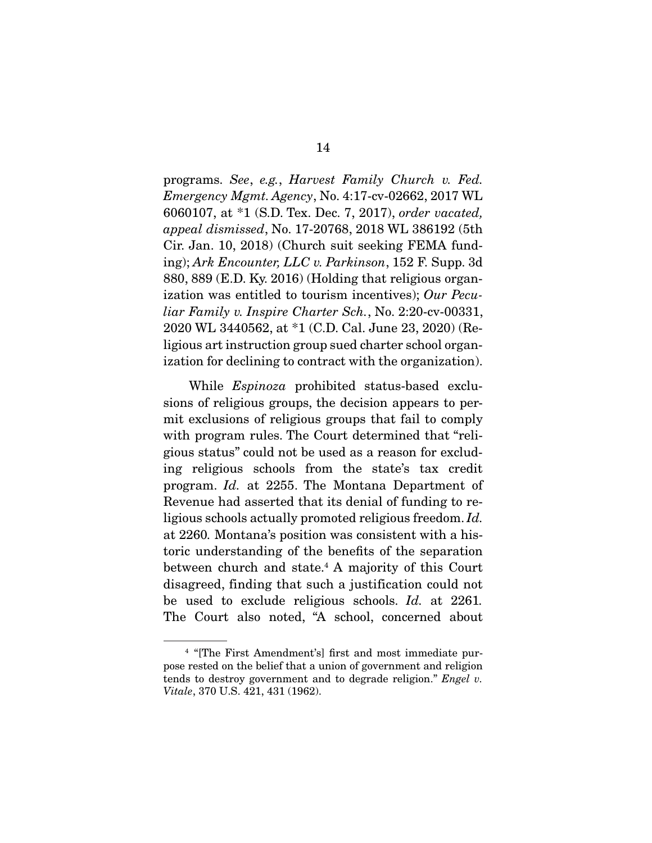programs. *See*, *e.g.*, *Harvest Family Church v. Fed. Emergency Mgmt. Agency*, No. 4:17-cv-02662, 2017 WL 6060107, at \*1 (S.D. Tex. Dec. 7, 2017), *order vacated, appeal dismissed*, No. 17-20768, 2018 WL 386192 (5th Cir. Jan. 10, 2018) (Church suit seeking FEMA funding); *Ark Encounter, LLC v. Parkinson*, 152 F. Supp. 3d 880, 889 (E.D. Ky. 2016) (Holding that religious organization was entitled to tourism incentives); *Our Peculiar Family v. Inspire Charter Sch.*, No. 2:20-cv-00331, 2020 WL 3440562, at \*1 (C.D. Cal. June 23, 2020) (Religious art instruction group sued charter school organization for declining to contract with the organization).

 While *Espinoza* prohibited status-based exclusions of religious groups, the decision appears to permit exclusions of religious groups that fail to comply with program rules. The Court determined that "religious status" could not be used as a reason for excluding religious schools from the state's tax credit program. *Id.* at 2255. The Montana Department of Revenue had asserted that its denial of funding to religious schools actually promoted religious freedom. *Id.*  at 2260*.* Montana's position was consistent with a historic understanding of the benefits of the separation between church and state.4 A majority of this Court disagreed, finding that such a justification could not be used to exclude religious schools. *Id.* at 2261*.*  The Court also noted, "A school, concerned about

<sup>4</sup> "[The First Amendment's] first and most immediate purpose rested on the belief that a union of government and religion tends to destroy government and to degrade religion." *Engel v. Vitale*, 370 U.S. 421, 431 (1962).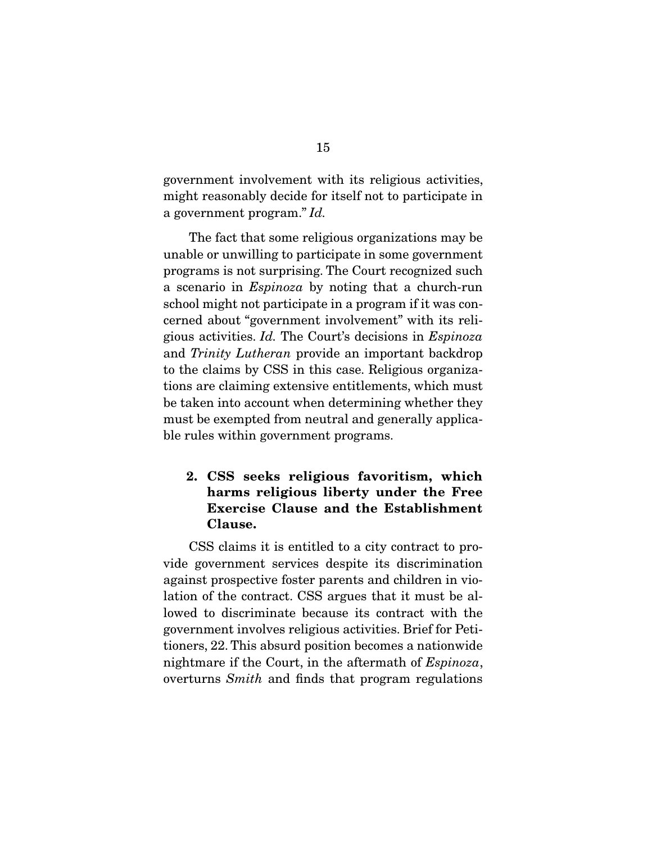government involvement with its religious activities, might reasonably decide for itself not to participate in a government program." *Id.*

 The fact that some religious organizations may be unable or unwilling to participate in some government programs is not surprising. The Court recognized such a scenario in *Espinoza* by noting that a church-run school might not participate in a program if it was concerned about "government involvement" with its religious activities. *Id.* The Court's decisions in *Espinoza*  and *Trinity Lutheran* provide an important backdrop to the claims by CSS in this case. Religious organizations are claiming extensive entitlements, which must be taken into account when determining whether they must be exempted from neutral and generally applicable rules within government programs.

## **2. CSS seeks religious favoritism, which harms religious liberty under the Free Exercise Clause and the Establishment Clause.**

 CSS claims it is entitled to a city contract to provide government services despite its discrimination against prospective foster parents and children in violation of the contract. CSS argues that it must be allowed to discriminate because its contract with the government involves religious activities. Brief for Petitioners, 22. This absurd position becomes a nationwide nightmare if the Court, in the aftermath of *Espinoza*, overturns *Smith* and finds that program regulations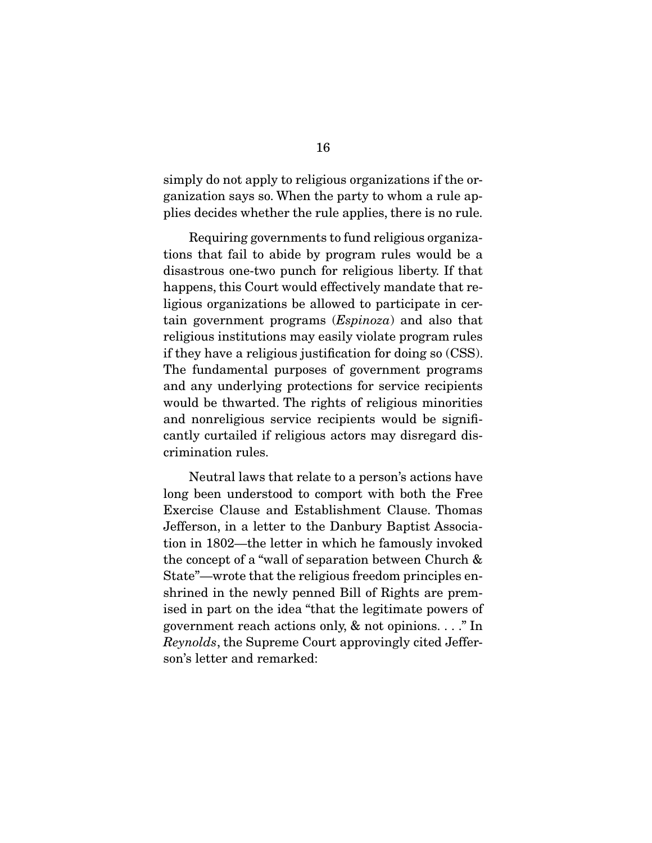simply do not apply to religious organizations if the organization says so. When the party to whom a rule applies decides whether the rule applies, there is no rule.

 Requiring governments to fund religious organizations that fail to abide by program rules would be a disastrous one-two punch for religious liberty. If that happens, this Court would effectively mandate that religious organizations be allowed to participate in certain government programs (*Espinoza*) and also that religious institutions may easily violate program rules if they have a religious justification for doing so (CSS). The fundamental purposes of government programs and any underlying protections for service recipients would be thwarted. The rights of religious minorities and nonreligious service recipients would be significantly curtailed if religious actors may disregard discrimination rules.

 Neutral laws that relate to a person's actions have long been understood to comport with both the Free Exercise Clause and Establishment Clause. Thomas Jefferson, in a letter to the Danbury Baptist Association in 1802—the letter in which he famously invoked the concept of a "wall of separation between Church & State"—wrote that the religious freedom principles enshrined in the newly penned Bill of Rights are premised in part on the idea "that the legitimate powers of government reach actions only, & not opinions. . . ." In *Reynolds*, the Supreme Court approvingly cited Jefferson's letter and remarked: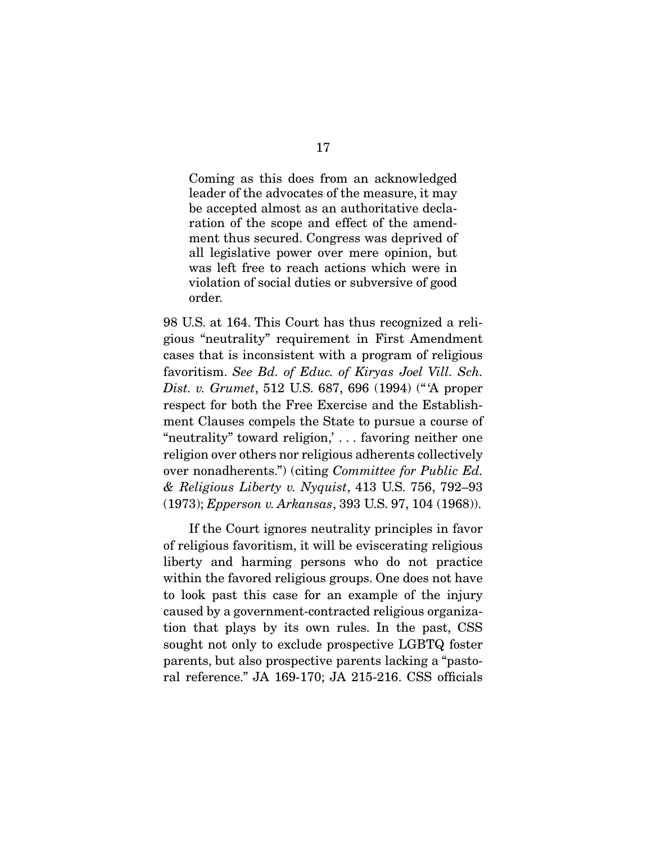Coming as this does from an acknowledged leader of the advocates of the measure, it may be accepted almost as an authoritative declaration of the scope and effect of the amendment thus secured. Congress was deprived of all legislative power over mere opinion, but was left free to reach actions which were in violation of social duties or subversive of good order.

98 U.S. at 164. This Court has thus recognized a religious "neutrality" requirement in First Amendment cases that is inconsistent with a program of religious favoritism. *See Bd. of Educ. of Kiryas Joel Vill. Sch. Dist. v. Grumet*, 512 U.S. 687, 696 (1994) (" 'A proper respect for both the Free Exercise and the Establishment Clauses compels the State to pursue a course of "neutrality" toward religion,' . . . favoring neither one religion over others nor religious adherents collectively over nonadherents.") (citing *Committee for Public Ed. & Religious Liberty v. Nyquist*, 413 U.S. 756, 792–93 (1973); *Epperson v. Arkansas*, 393 U.S. 97, 104 (1968)).

 If the Court ignores neutrality principles in favor of religious favoritism, it will be eviscerating religious liberty and harming persons who do not practice within the favored religious groups. One does not have to look past this case for an example of the injury caused by a government-contracted religious organization that plays by its own rules. In the past, CSS sought not only to exclude prospective LGBTQ foster parents, but also prospective parents lacking a "pastoral reference." JA 169-170; JA 215-216. CSS officials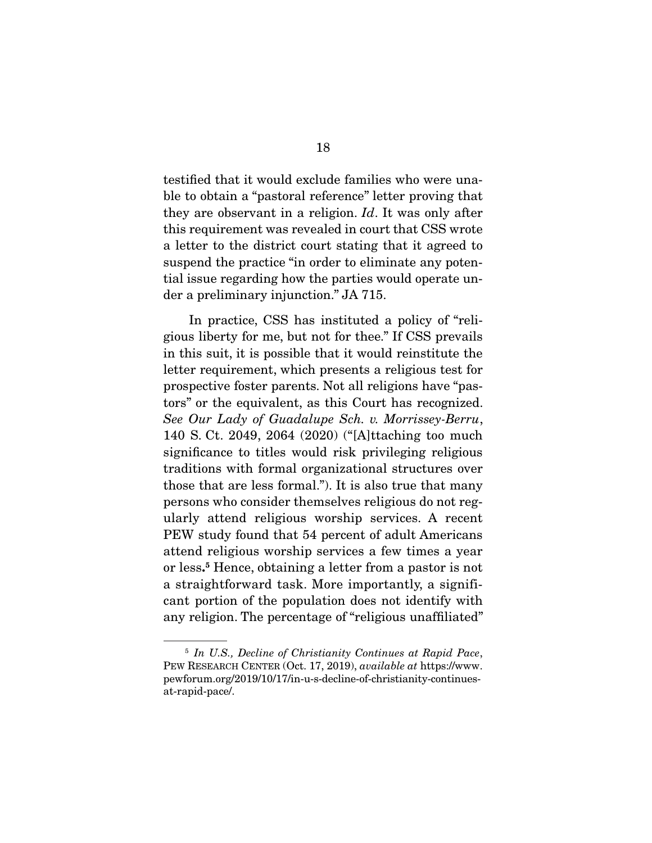testified that it would exclude families who were unable to obtain a "pastoral reference" letter proving that they are observant in a religion. *Id*. It was only after this requirement was revealed in court that CSS wrote a letter to the district court stating that it agreed to suspend the practice "in order to eliminate any potential issue regarding how the parties would operate under a preliminary injunction." JA 715.

 In practice, CSS has instituted a policy of "religious liberty for me, but not for thee." If CSS prevails in this suit, it is possible that it would reinstitute the letter requirement, which presents a religious test for prospective foster parents. Not all religions have "pastors" or the equivalent, as this Court has recognized. *See Our Lady of Guadalupe Sch. v. Morrissey-Berru*, 140 S. Ct. 2049, 2064 (2020) ("[A]ttaching too much significance to titles would risk privileging religious traditions with formal organizational structures over those that are less formal."). It is also true that many persons who consider themselves religious do not regularly attend religious worship services. A recent PEW study found that 54 percent of adult Americans attend religious worship services a few times a year or less**. 5** Hence, obtaining a letter from a pastor is not a straightforward task. More importantly, a significant portion of the population does not identify with any religion. The percentage of "religious unaffiliated"

<sup>5</sup> *In U.S., Decline of Christianity Continues at Rapid Pace*, PEW RESEARCH CENTER (Oct. 17, 2019), *available at* https://www. pewforum.org/2019/10/17/in-u-s-decline-of-christianity-continuesat-rapid-pace/.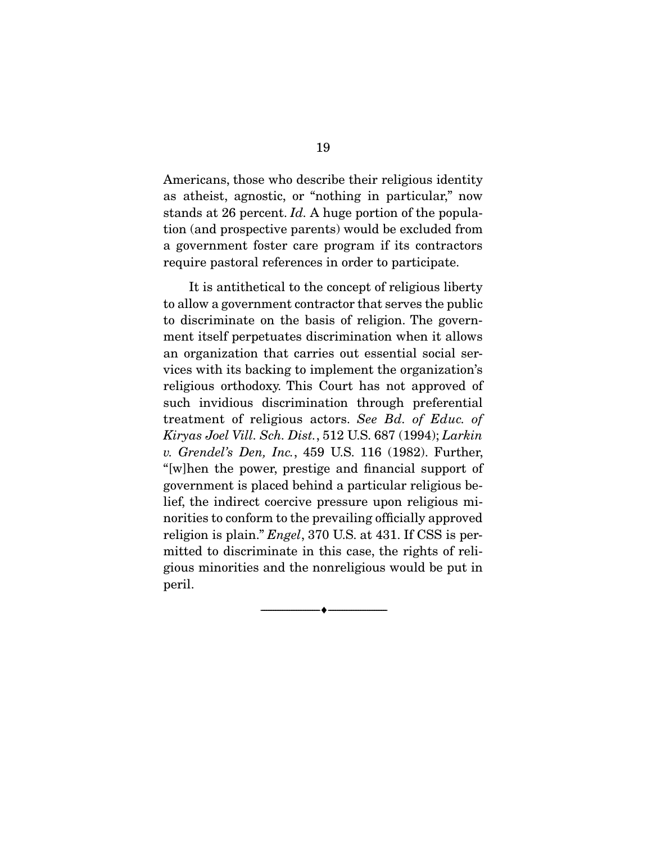Americans, those who describe their religious identity as atheist, agnostic, or "nothing in particular," now stands at 26 percent. *Id.* A huge portion of the population (and prospective parents) would be excluded from a government foster care program if its contractors require pastoral references in order to participate.

 It is antithetical to the concept of religious liberty to allow a government contractor that serves the public to discriminate on the basis of religion. The government itself perpetuates discrimination when it allows an organization that carries out essential social services with its backing to implement the organization's religious orthodoxy. This Court has not approved of such invidious discrimination through preferential treatment of religious actors. *See Bd. of Educ. of Kiryas Joel Vill. Sch. Dist.*, 512 U.S. 687 (1994); *Larkin v. Grendel's Den, Inc.*, 459 U.S. 116 (1982). Further, "[w]hen the power, prestige and financial support of government is placed behind a particular religious belief, the indirect coercive pressure upon religious minorities to conform to the prevailing officially approved religion is plain." *Engel*, 370 U.S. at 431. If CSS is permitted to discriminate in this case, the rights of religious minorities and the nonreligious would be put in peril.

--------------------------------- ♦ ---------------------------------